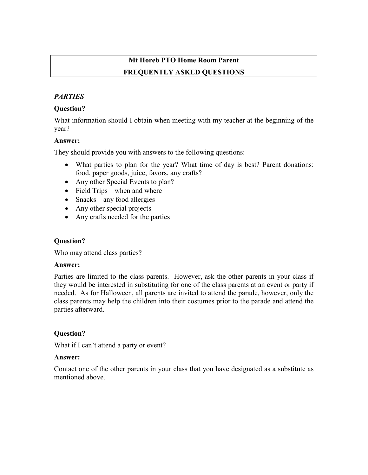# Mt Horeb PTO Home Room Parent FREQUENTLY ASKED QUESTIONS

## **PARTIES**

## Question?

What information should I obtain when meeting with my teacher at the beginning of the year?

## Answer:

They should provide you with answers to the following questions:

- What parties to plan for the year? What time of day is best? Parent donations: food, paper goods, juice, favors, any crafts?
- Any other Special Events to plan?
- Field Trips when and where
- Snacks any food allergies
- Any other special projects
- Any crafts needed for the parties

## Question?

Who may attend class parties?

## Answer:

Parties are limited to the class parents. However, ask the other parents in your class if they would be interested in substituting for one of the class parents at an event or party if needed. As for Halloween, all parents are invited to attend the parade, however, only the class parents may help the children into their costumes prior to the parade and attend the parties afterward.

## Question?

What if I can't attend a party or event?

## Answer:

Contact one of the other parents in your class that you have designated as a substitute as mentioned above.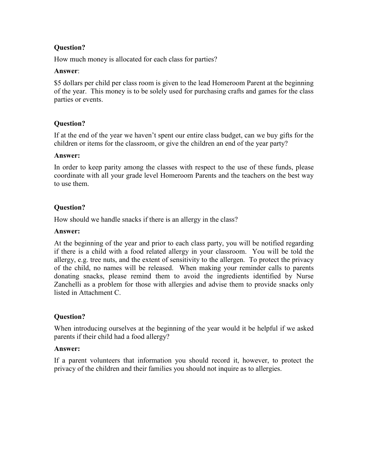## Question?

How much money is allocated for each class for parties?

#### Answer:

\$5 dollars per child per class room is given to the lead Homeroom Parent at the beginning of the year. This money is to be solely used for purchasing crafts and games for the class parties or events.

## Question?

If at the end of the year we haven't spent our entire class budget, can we buy gifts for the children or items for the classroom, or give the children an end of the year party?

#### Answer:

In order to keep parity among the classes with respect to the use of these funds, please coordinate with all your grade level Homeroom Parents and the teachers on the best way to use them.

## Question?

How should we handle snacks if there is an allergy in the class?

#### Answer:

At the beginning of the year and prior to each class party, you will be notified regarding if there is a child with a food related allergy in your classroom. You will be told the allergy, e.g. tree nuts, and the extent of sensitivity to the allergen. To protect the privacy of the child, no names will be released. When making your reminder calls to parents donating snacks, please remind them to avoid the ingredients identified by Nurse Zanchelli as a problem for those with allergies and advise them to provide snacks only listed in Attachment C.

## Question?

When introducing ourselves at the beginning of the year would it be helpful if we asked parents if their child had a food allergy?

## Answer:

If a parent volunteers that information you should record it, however, to protect the privacy of the children and their families you should not inquire as to allergies.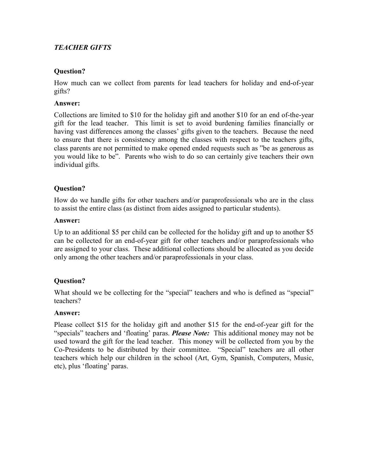## TEACHER GIFTS

## Question?

How much can we collect from parents for lead teachers for holiday and end-of-year gifts?

## Answer:

Collections are limited to \$10 for the holiday gift and another \$10 for an end of-the-year gift for the lead teacher. This limit is set to avoid burdening families financially or having vast differences among the classes' gifts given to the teachers. Because the need to ensure that there is consistency among the classes with respect to the teachers gifts, class parents are not permitted to make opened ended requests such as "be as generous as you would like to be". Parents who wish to do so can certainly give teachers their own individual gifts.

## Question?

How do we handle gifts for other teachers and/or paraprofessionals who are in the class to assist the entire class (as distinct from aides assigned to particular students).

#### Answer:

Up to an additional \$5 per child can be collected for the holiday gift and up to another \$5 can be collected for an end-of-year gift for other teachers and/or paraprofessionals who are assigned to your class. These additional collections should be allocated as you decide only among the other teachers and/or paraprofessionals in your class.

## Question?

What should we be collecting for the "special" teachers and who is defined as "special" teachers?

## Answer:

Please collect \$15 for the holiday gift and another \$15 for the end-of-year gift for the "specials" teachers and 'floating' paras. **Please Note:** This additional money may not be used toward the gift for the lead teacher. This money will be collected from you by the Co-Presidents to be distributed by their committee. "Special" teachers are all other teachers which help our children in the school (Art, Gym, Spanish, Computers, Music, etc), plus 'floating' paras.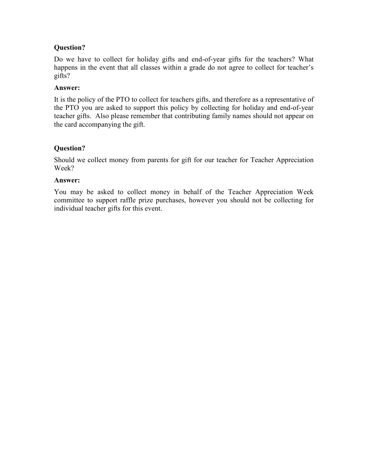## Question?

Do we have to collect for holiday gifts and end-of-year gifts for the teachers? What happens in the event that all classes within a grade do not agree to collect for teacher's gifts?

#### Answer:

It is the policy of the PTO to collect for teachers gifts, and therefore as a representative of the PTO you are asked to support this policy by collecting for holiday and end-of-year teacher gifts. Also please remember that contributing family names should not appear on the card accompanying the gift.

## Question?

Should we collect money from parents for gift for our teacher for Teacher Appreciation Week?

#### Answer:

You may be asked to collect money in behalf of the Teacher Appreciation Week committee to support raffle prize purchases, however you should not be collecting for individual teacher gifts for this event.